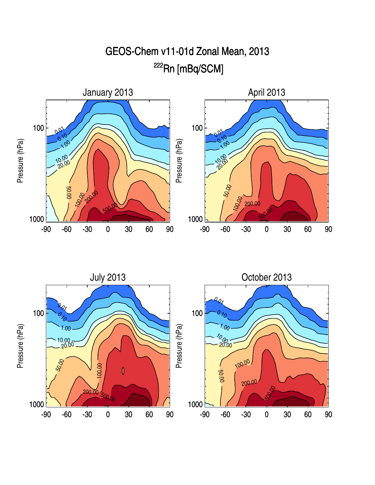



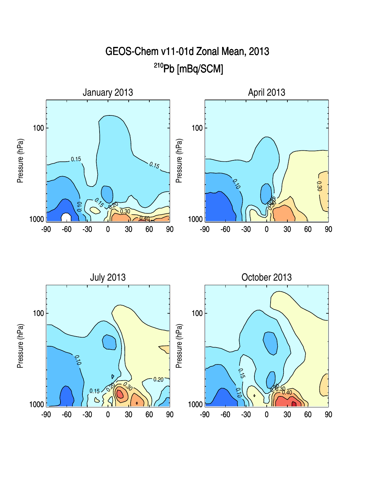